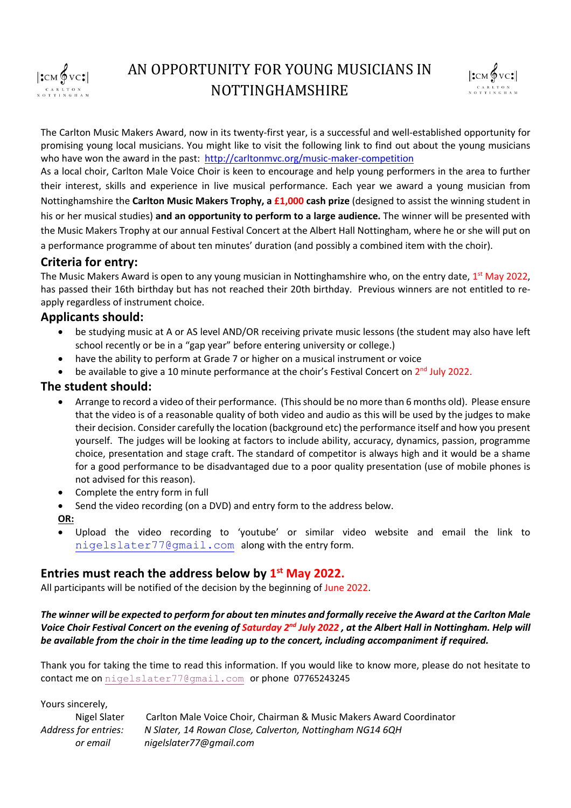



The Carlton Music Makers Award, now in its twenty-first year, is a successful and well-established opportunity for promising young local musicians. You might like to visit the following link to find out about the young musicians who have won the award in the past: http://carltonmvc.org/music-maker-competition

As a local choir, Carlton Male Voice Choir is keen to encourage and help young performers in the area to further their interest, skills and experience in live musical performance. Each year we award a young musician from Nottinghamshire the **Carlton Music Makers Trophy, a £1,000 cash prize** (designed to assist the winning student in his or her musical studies) **and an opportunity to perform to a large audience.** The winner will be presented with the Music Makers Trophy at our annual Festival Concert at the Albert Hall Nottingham, where he or she will put on a performance programme of about ten minutes' duration (and possibly a combined item with the choir).

## **Criteria for entry:**

The Music Makers Award is open to any young musician in Nottinghamshire who, on the entry date, 1<sup>st</sup> May 2022, has passed their 16th birthday but has not reached their 20th birthday. Previous winners are not entitled to reapply regardless of instrument choice.

### **Applicants should:**

- be studying music at A or AS level AND/OR receiving private music lessons (the student may also have left school recently or be in a "gap year" before entering university or college.)
- have the ability to perform at Grade 7 or higher on a musical instrument or voice
- be available to give a 10 minute performance at the choir's Festival Concert on 2<sup>nd</sup> July 2022.

## **The student should:**

- Arrange to record a video of their performance. (This should be no more than 6 months old). Please ensure that the video is of a reasonable quality of both video and audio as this will be used by the judges to make their decision. Consider carefully the location (background etc) the performance itself and how you present yourself. The judges will be looking at factors to include ability, accuracy, dynamics, passion, programme choice, presentation and stage craft. The standard of competitor is always high and it would be a shame for a good performance to be disadvantaged due to a poor quality presentation (use of mobile phones is not advised for this reason).
- Complete the entry form in full
- Send the video recording (on a DVD) and entry form to the address below.
- **OR:**
- Upload the video recording to 'youtube' or similar video website and email the link to nigelslater77@gmail.com along with the entry form.

## **Entries must reach the address below by 1st May 2022.**

All participants will be notified of the decision by the beginning of June 2022.

*The winner will be expected to perform for about ten minutes and formally receive the Award at the Carlton Male Voice Choir Festival Concert on the evening of Saturday 2nd July 2022 , at the Albert Hall in Nottingham. Help will be available from the choir in the time leading up to the concert, including accompaniment if required.*

Thank you for taking the time to read this information. If you would like to know more, please do not hesitate to contact me on nigelslater77@gmail.com or phone 07765243245

Yours sincerely,

Nigel Slater Carlton Male Voice Choir, Chairman & Music Makers Award Coordinator *Address for entries: N Slater, 14 Rowan Close, Calverton, Nottingham NG14 6QH or email nigelslater77@gmail.com*